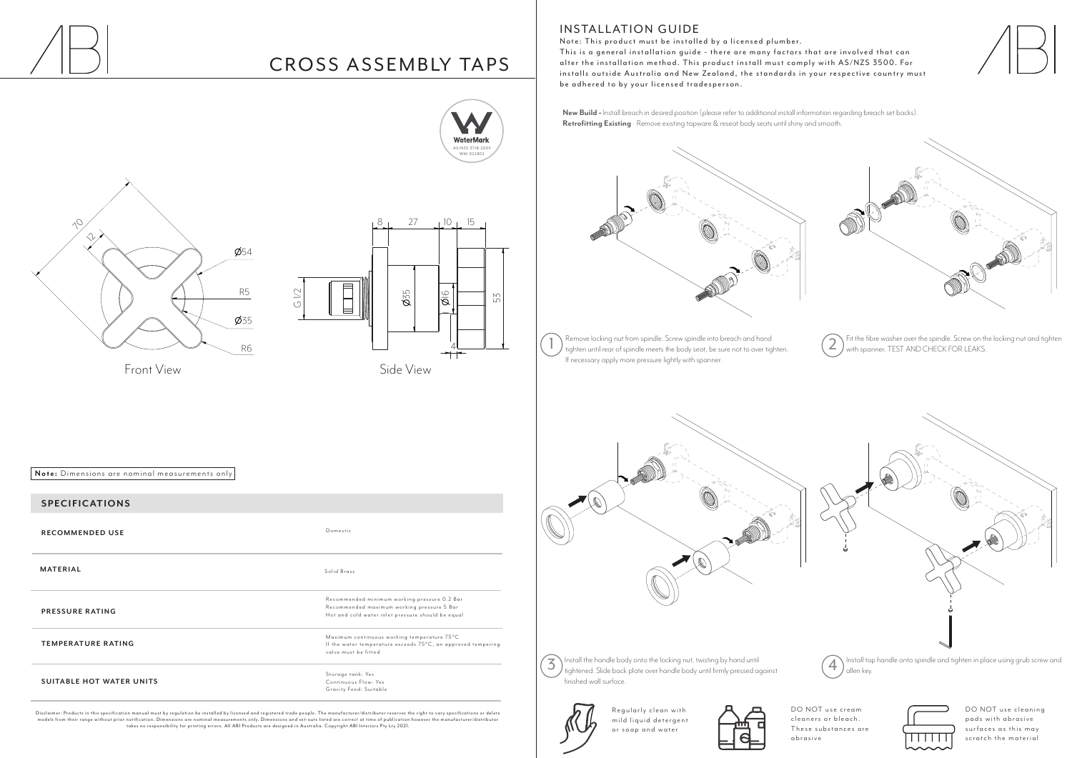

# CROSS ASSEMBLY TAPS

#### **SPECIFICATIONS**

**RECOMMENDED USE**

**MATERIAL** Solid Brass

**PRESSURE RATING**

**TEMPERATURE RATING** 

**SUITABLE HOT WATER UNITS**



**Note:** Dimensions are nominal measurements only

Domestic

Storage tank: Yes Continuous Flow: Yes Gravity Feed: Suitable

Recommended minimum working pressure 0.2 Bar Recommended maximum working pressure 5 Bar Hot and cold water inlet pressure should be equal

Disclaimer: Products in this specification manual must by regulation be installed by licensed and registered trade people. The manufacturer/distributor reser ves the right to var y specifications or delete models from their range without prior notification. Dimensions are nominal measurements only. Dimensions and set-outs listed are correct at time of publication however the manufacturer/distributor<br>takes no responsibility f



Maximum continuous working temperature 75°C If the water temperature exceeds  $75^{\circ}$ C, an approved tempering valve must be fitted

> DO NOT use cleaning pads with abrasive s urfa ces as this may scratch the material

R egularly clean with mild liquid detergent or soap and water









Fit the fibre washer over the spindle. Screw on the locking nut and tighten with spanner. TEST AND CHECK FOR LEAKS.





**INSTALLATION GUIDE** 



**New Build -** Install breach in desired position (please refer to additional install information regarding breach set backs). **Retrofitting Existing** - Remove existing tapware & reseat body seats until shiny and smooth.



Install the handle body onto the locking nut, twisting by hand until  $\mathcal{F}(\mathcal{T})$  Install the handle body onto the locking nut, twisting by hand until<br>during the state of the spin diagrams and tightened onto spindle and tighten in place using grub screw and tightened. Slide back plate ove finished wall surface.



DO NOT use cream cleaners or bleach. These substances are abras ive



Note: This product must be installed by a licensed plumber. This is a general installation guide - there are many factors that are involved that can alter the installation method. This product install must comply with AS/NZS 3500. For installs outside Australia and New Zealand, the standards in your respective country must be adhered to by your licensed tradesperson.

Remove locking nut from spindle. Screw spindle into breach and hand The move locking nut from spindle. Screw spindle into breach and hand<br>tighten until rear of spindle meets the body seat, be sure not to over tighten. (2) with spanner. TEST AND CHECK FOR LEAKS. If necessary apply more pressure lightly with spanner.